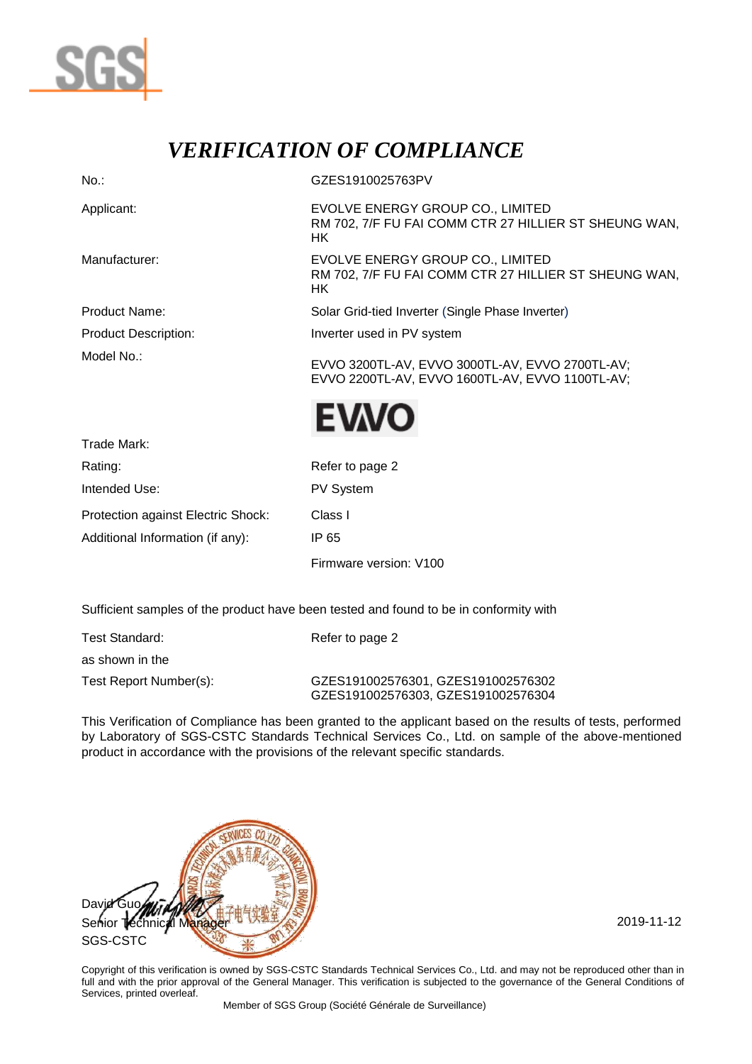

## *VERIFICATION OF COMPLIANCE*

| $No.$ :                            | GZES1910025763PV                                                                                   |  |  |  |
|------------------------------------|----------------------------------------------------------------------------------------------------|--|--|--|
| Applicant:                         | EVOLVE ENERGY GROUP CO., LIMITED<br>RM 702, 7/F FU FAI COMM CTR 27 HILLIER ST SHEUNG WAN,<br>HK.   |  |  |  |
| Manufacturer:                      | EVOLVE ENERGY GROUP CO., LIMITED<br>RM 702, 7/F FU FAI COMM CTR 27 HILLIER ST SHEUNG WAN,<br>HK.   |  |  |  |
| <b>Product Name:</b>               | Solar Grid-tied Inverter (Single Phase Inverter)                                                   |  |  |  |
| <b>Product Description:</b>        | Inverter used in PV system                                                                         |  |  |  |
| Model No.:                         | EVVO 3200TL-AV, EVVO 3000TL-AV, EVVO 2700TL-AV;<br>EVVO 2200TL-AV, EVVO 1600TL-AV, EVVO 1100TL-AV; |  |  |  |
|                                    | <b>EWO</b>                                                                                         |  |  |  |
| Trade Mark:                        |                                                                                                    |  |  |  |
| Rating:                            | Refer to page 2                                                                                    |  |  |  |
| Intended Use:                      | PV System                                                                                          |  |  |  |
| Protection against Electric Shock: | Class I                                                                                            |  |  |  |

Additional Information (if any): IP 65

Firmware version: V100

Sufficient samples of the product have been tested and found to be in conformity with

| Test Standard:         | Refer to page 2                                                          |
|------------------------|--------------------------------------------------------------------------|
| as shown in the        |                                                                          |
| Test Report Number(s): | GZES191002576301, GZES191002576302<br>GZES191002576303, GZES191002576304 |

This Verification of Compliance has been granted to the applicant based on the results of tests, performed by Laboratory of SGS-CSTC Standards Technical Services Co., Ltd. on sample of the above-mentioned product in accordance with the provisions of the relevant specific standards.



Copyright of this verification is owned by SGS-CSTC Standards Technical Services Co., Ltd. and may not be reproduced other than in full and with the prior approval of the General Manager. This verification is subjected to the governance of the General Conditions of Services, printed overleaf.